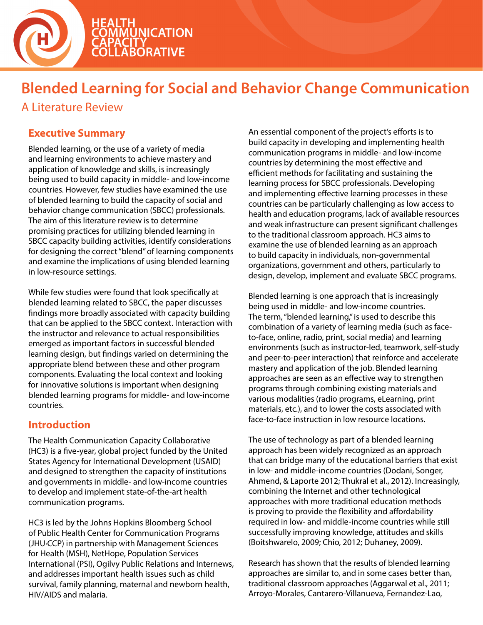

# **Blended Learning for Social and Behavior Change Communication**

A Literature Review

### **Executive Summary**

Blended learning, or the use of a variety of media and learning environments to achieve mastery and application of knowledge and skills, is increasingly being used to build capacity in middle- and low-income countries. However, few studies have examined the use of blended learning to build the capacity of social and behavior change communication (SBCC) professionals. The aim of this literature review is to determine promising practices for utilizing blended learning in SBCC capacity building activities, identify considerations for designing the correct "blend" of learning components and examine the implications of using blended learning in low-resource settings.

While few studies were found that look specifically at blended learning related to SBCC, the paper discusses findings more broadly associated with capacity building that can be applied to the SBCC context. Interaction with the instructor and relevance to actual responsibilities emerged as important factors in successful blended learning design, but findings varied on determining the appropriate blend between these and other program components. Evaluating the local context and looking for innovative solutions is important when designing blended learning programs for middle- and low-income countries.

### **Introduction**

The Health Communication Capacity Collaborative (HC3) is a five-year, global project funded by the United States Agency for International Development (USAID) and designed to strengthen the capacity of institutions and governments in middle- and low-income countries to develop and implement state-of-the-art health communication programs.

HC3 is led by the Johns Hopkins Bloomberg School of Public Health Center for Communication Programs (JHU∙CCP) in partnership with Management Sciences for Health (MSH), NetHope, Population Services International (PSI), Ogilvy Public Relations and Internews, and addresses important health issues such as child survival, family planning, maternal and newborn health, HIV/AIDS and malaria.

An essential component of the project's efforts is to build capacity in developing and implementing health communication programs in middle- and low-income countries by determining the most effective and efficient methods for facilitating and sustaining the learning process for SBCC professionals. Developing and implementing effective learning processes in these countries can be particularly challenging as low access to health and education programs, lack of available resources and weak infrastructure can present significant challenges to the traditional classroom approach. HC3 aims to examine the use of blended learning as an approach to build capacity in individuals, non-governmental organizations, government and others, particularly to design, develop, implement and evaluate SBCC programs.

Blended learning is one approach that is increasingly being used in middle- and low-income countries. The term, "blended learning," is used to describe this combination of a variety of learning media (such as faceto-face, online, radio, print, social media) and learning environments (such as instructor-led, teamwork, self-study and peer-to-peer interaction) that reinforce and accelerate mastery and application of the job. Blended learning approaches are seen as an effective way to strengthen programs through combining existing materials and various modalities (radio programs, eLearning, print materials, etc.), and to lower the costs associated with face-to-face instruction in low resource locations.

The use of technology as part of a blended learning approach has been widely recognized as an approach that can bridge many of the educational barriers that exist in low- and middle-income countries (Dodani, Songer, Ahmend, & Laporte 2012; Thukral et al., 2012). Increasingly, combining the Internet and other technological approaches with more traditional education methods is proving to provide the flexibility and affordability required in low- and middle-income countries while still successfully improving knowledge, attitudes and skills (Boitshwarelo, 2009; Chio, 2012; Duhaney, 2009).

Research has shown that the results of blended learning approaches are similar to, and in some cases better than, traditional classroom approaches (Aggarwal et al., 2011; Arroyo-Morales, Cantarero-Villanueva, Fernandez-Lao,